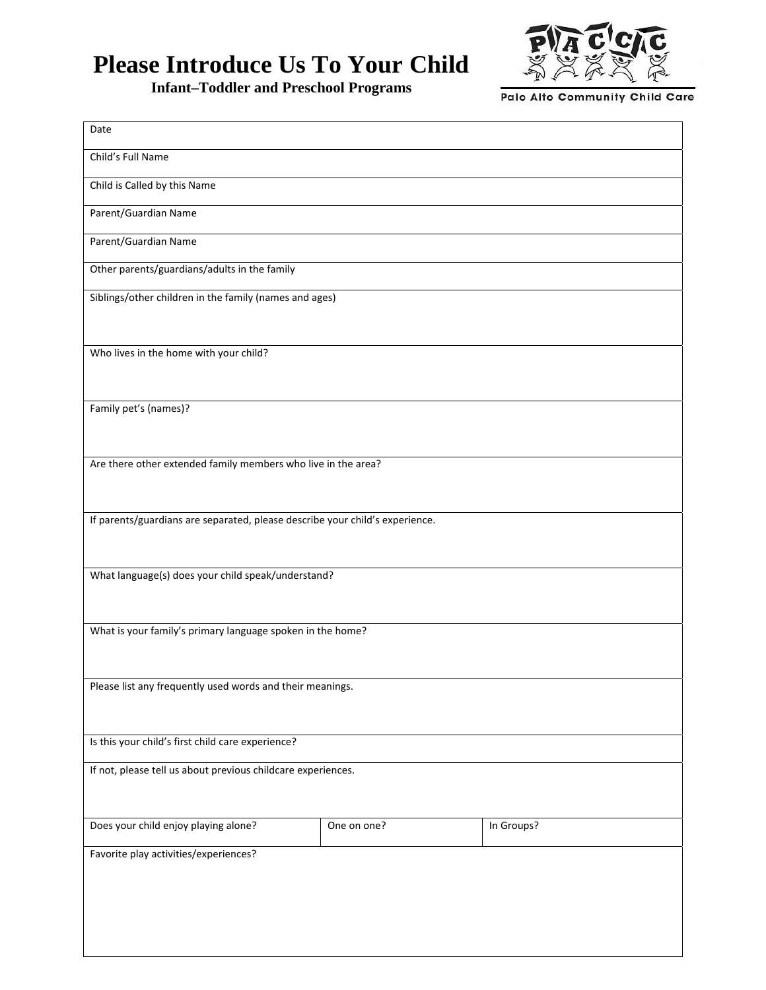## **Please Introduce Us To Your Child**

**Infant–Toddler and Preschool Programs** 



Palo Alto Community Child Care